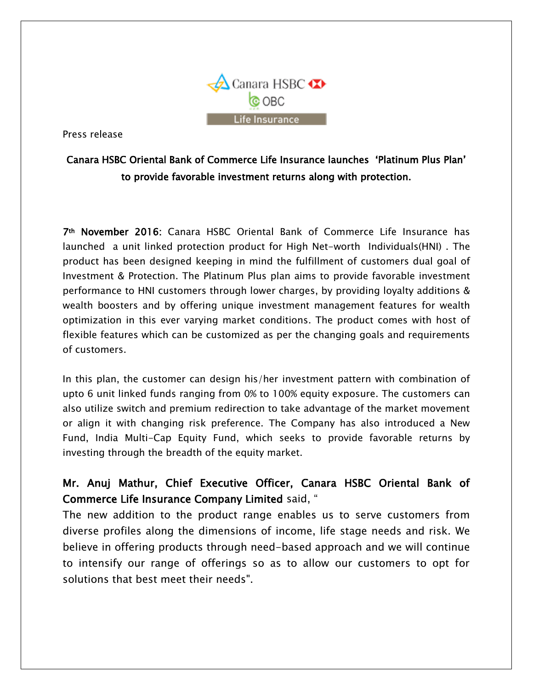

Press release

## Canara HSBC Oriental Bank of Commerce Life Insurance launches 'Platinum Plus Plan' to provide favorable investment returns along with protection.

7th November 2016: Canara HSBC Oriental Bank of Commerce Life Insurance has launched a unit linked protection product for High Net-worth Individuals(HNI) . The product has been designed keeping in mind the fulfillment of customers dual goal of Investment & Protection. The Platinum Plus plan aims to provide favorable investment performance to HNI customers through lower charges, by providing loyalty additions & wealth boosters and by offering unique investment management features for wealth optimization in this ever varying market conditions. The product comes with host of flexible features which can be customized as per the changing goals and requirements of customers.

In this plan, the customer can design his/her investment pattern with combination of upto 6 unit linked funds ranging from 0% to 100% equity exposure. The customers can also utilize switch and premium redirection to take advantage of the market movement or align it with changing risk preference. The Company has also introduced a New Fund, India Multi-Cap Equity Fund, which seeks to provide favorable returns by investing through the breadth of the equity market.

## Mr. Anuj Mathur, Chief Executive Officer, Canara HSBC Oriental Bank of Commerce Life Insurance Company Limited said, "

The new addition to the product range enables us to serve customers from diverse profiles along the dimensions of income, life stage needs and risk. We believe in offering products through need-based approach and we will continue to intensify our range of offerings so as to allow our customers to opt for solutions that best meet their needs".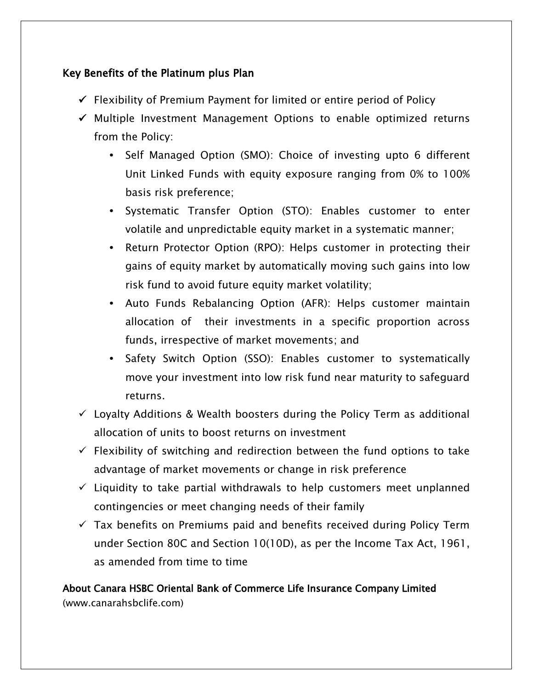## Key Benefits of the Platinum plus Plan

- $\checkmark$  Flexibility of Premium Payment for limited or entire period of Policy
- $\checkmark$  Multiple Investment Management Options to enable optimized returns from the Policy:
	- **•** Self Managed Option (SMO): Choice of investing upto 6 different Unit Linked Funds with equity exposure ranging from 0% to 100% basis risk preference;
	- **•** Systematic Transfer Option (STO): Enables customer to enter volatile and unpredictable equity market in a systematic manner;
	- **•** Return Protector Option (RPO): Helps customer in protecting their gains of equity market by automatically moving such gains into low risk fund to avoid future equity market volatility;
	- **•** Auto Funds Rebalancing Option (AFR): Helps customer maintain allocation of their investments in a specific proportion across funds, irrespective of market movements; and
	- **•** Safety Switch Option (SSO): Enables customer to systematically move your investment into low risk fund near maturity to safeguard returns.
- $\checkmark$  Loyalty Additions & Wealth boosters during the Policy Term as additional allocation of units to boost returns on investment
- $\checkmark$  Flexibility of switching and redirection between the fund options to take advantage of market movements or change in risk preference
- $\checkmark$  Liquidity to take partial withdrawals to help customers meet unplanned contingencies or meet changing needs of their family
- $\checkmark$  Tax benefits on Premiums paid and benefits received during Policy Term under Section 80C and Section 10(10D), as per the Income Tax Act, 1961, as amended from time to time

About Canara HSBC Oriental Bank of Commerce Life Insurance Company Limited (www.canarahsbclife.com)